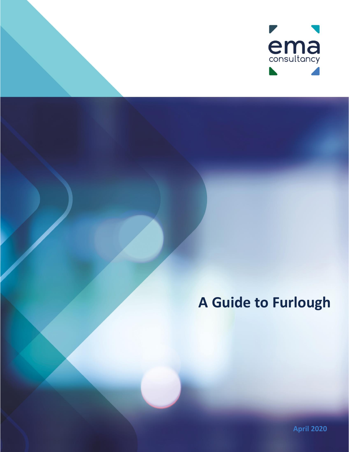

# **A Guide to Furlough**

**April 2020**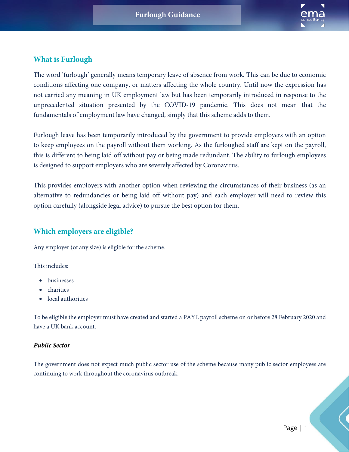

## **What is Furlough**

The word 'furlough' generally means temporary leave of absence from work. This can be due to economic conditions affecting one company, or matters affecting the whole country. Until now the expression has not carried any meaning in UK employment law but has been temporarily introduced in response to the unprecedented situation presented by the COVID-19 pandemic. This does not mean that the fundamentals of employment law have changed, simply that this scheme adds to them.

Furlough leave has been temporarily introduced by the government to provide employers with an option to keep employees on the payroll without them working. As the furloughed staff are kept on the payroll, this is different to being laid off without pay or being made redundant. The ability to furlough employees is designed to support employers who are severely affected by Coronavirus.

This provides employers with another option when reviewing the circumstances of their business (as an alternative to redundancies or being laid off without pay) and each employer will need to review this option carefully (alongside legal advice) to pursue the best option for them.

## **Which employers are eligible?**

Any employer (of any size) is eligible for the scheme.

This includes:

- businesses
- charities
- local authorities

To be eligible the employer must have created and started a PAYE payroll scheme on or before 28 February 2020 and have a UK bank account.

#### *Public Sector*

The government does not expect much public sector use of the scheme because many public sector employees are continuing to work throughout the coronavirus outbreak.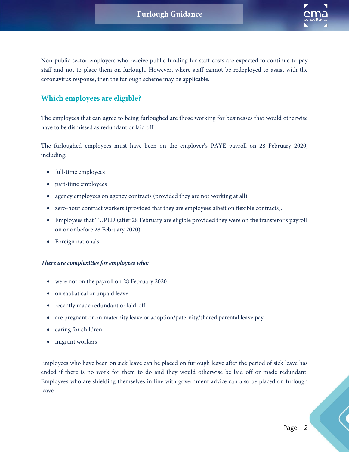

Non-public sector employers who receive public funding for staff costs are expected to continue to pay staff and not to place them on furlough. However, where staff cannot be redeployed to assist with the coronavirus response, then the furlough scheme may be applicable.

## **Which employees are eligible?**

The employees that can agree to being furloughed are those working for businesses that would otherwise have to be dismissed as redundant or laid off.

The furloughed employees must have been on the employer's PAYE payroll on 28 February 2020, including:

- full-time employees
- part-time employees
- agency employees on agency contracts (provided they are not working at all)
- zero-hour contract workers (provided that they are employees albeit on flexible contracts).
- Employees that TUPED (after 28 February are eligible provided they were on the transferor's payroll on or or before 28 February 2020)
- Foreign nationals

#### *There are complexities for employees who:*

- were not on the payroll on 28 February 2020
- on sabbatical or unpaid leave
- recently made redundant or laid-off
- are pregnant or on maternity leave or adoption/paternity/shared parental leave pay
- caring for children
- migrant workers

Employees who have been on sick leave can be placed on furlough leave after the period of sick leave has ended if there is no work for them to do and they would otherwise be laid off or made redundant. Employees who are shielding themselves in line with government advice can also be placed on furlough leave.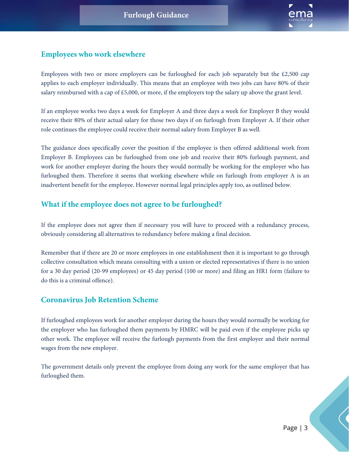

## **Employees who work elsewhere**

Employees with two or more employers can be furloughed for each job separately but the £2,500 cap applies to each employer individually. This means that an employee with two jobs can have 80% of their salary reimbursed with a cap of  $£5,000$ , or more, if the employers top the salary up above the grant level.

If an employee works two days a week for Employer A and three days a week for Employer B they would receive their 80% of their actual salary for those two days if on furlough from Employer A. If their other role continues the employee could receive their normal salary from Employer B as well.

The guidance does specifically cover the position if the employee is then offered additional work from Employer B. Employees can be furloughed from one job and receive their 80% furlough payment, and work for another employer during the hours they would normally be working for the employer who has furloughed them. Therefore it seems that working elsewhere while on furlough from employer A is an inadvertent benefit for the employee. However normal legal principles apply too, as outlined below.

## **What if the employee does not agree to be furloughed?**

If the employee does not agree then if necessary you will have to proceed with a redundancy process, obviously considering all alternatives to redundancy before making a final decision.

Remember that if there are 20 or more employees in one establishment then it is important to go through collective consultation which means consulting with a union or elected representatives if there is no union for a 30 day period (20-99 employees) or 45 day period (100 or more) and filing an HR1 form (failure to do this is a criminal offence).

## **Coronavirus Job Retention Scheme**

If furloughed employees work for another employer during the hours they would normally be working for the employer who has furloughed them payments by HMRC will be paid even if the employee picks up other work. The employee will receive the furlough payments from the first employer and their normal wages from the new employer.

The government details only prevent the employee from doing any work for the same employer that has furloughed them.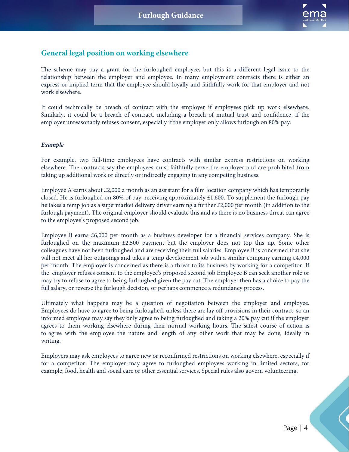

## **General legal position on working elsewhere**

The scheme may pay a grant for the furloughed employee, but this is a different legal issue to the relationship between the employer and employee. In many employment contracts there is either an express or implied term that the employee should loyally and faithfully work for that employer and not work elsewhere.

It could technically be breach of contract with the employer if employees pick up work elsewhere. Similarly, it could be a breach of contract, including a breach of mutual trust and confidence, if the employer unreasonably refuses consent, especially if the employer only allows furlough on 80% pay.

#### *Example*

For example, two full-time employees have contracts with similar express restrictions on working elsewhere. The contracts say the employees must faithfully serve the employer and are prohibited from taking up additional work or directly or indirectly engaging in any competing business.

Employee A earns about £2,000 a month as an assistant for a film location company which has temporarily closed. He is furloughed on 80% of pay, receiving approximately £1,600. To supplement the furlough pay he takes a temp job as a supermarket delivery driver earning a further £2,000 per month (in addition to the furlough payment). The original employer should evaluate this and as there is no business threat can agree to the employee's proposed second job.

Employee B earns £6,000 per month as a business developer for a financial services company. She is furloughed on the maximum £2,500 payment but the employer does not top this up. Some other colleagues have not been furloughed and are receiving their full salaries. Employee B is concerned that she will not meet all her outgoings and takes a temp development job with a similar company earning £4,000 per month. The employer is concerned as there is a threat to its business by working for a competitor. If the employer refuses consent to the employee's proposed second job Employee B can seek another role or may try to refuse to agree to being furloughed given the pay cut. The employer then has a choice to pay the full salary, or reverse the furlough decision, or perhaps commence a redundancy process.

Ultimately what happens may be a question of negotiation between the employer and employee. Employees do have to agree to being furloughed, unless there are lay off provisions in their contract, so an informed employee may say they only agree to being furloughed and taking a 20% pay cut if the employer agrees to them working elsewhere during their normal working hours. The safest course of action is to agree with the employee the nature and length of any other work that may be done, ideally in writing.

Employers may ask employees to agree new or reconfirmed restrictions on working elsewhere, especially if for a competitor. The employer may agree to furloughed employees working in limited sectors, for example, food, health and social care or other essential services. Special rules also govern volunteering.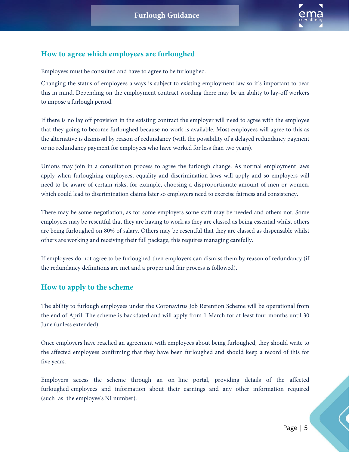

## **How to agree which employees are furloughed**

Employees must be consulted and have to agree to be furloughed.

Changing the status of employees always is subject to existing employment law so it's important to bear this in mind. Depending on the employment contract wording there may be an ability to lay-off workers to impose a furlough period.

If there is no lay off provision in the existing contract the employer will need to agree with the employee that they going to become furloughed because no work is available. Most employees will agree to this as the alternative is dismissal by reason of redundancy (with the possibility of a delayed redundancy payment or no redundancy payment for employees who have worked for less than two years).

Unions may join in a consultation process to agree the furlough change. As normal employment laws apply when furloughing employees, equality and discrimination laws will apply and so employers will need to be aware of certain risks, for example, choosing a disproportionate amount of men or women, which could lead to discrimination claims later so employers need to exercise fairness and consistency.

There may be some negotiation, as for some employers some staff may be needed and others not. Some employees may be resentful that they are having to work as they are classed as being essential whilst others are being furloughed on 80% of salary. Others may be resentful that they are classed as dispensable whilst others are working and receiving their full package, this requires managing carefully.

If employees do not agree to be furloughed then employers can dismiss them by reason of redundancy (if the redundancy definitions are met and a proper and fair process is followed).

## **How to apply to the scheme**

The ability to furlough employees under the Coronavirus Job Retention Scheme will be operational from the end of April. The scheme is backdated and will apply from 1 March for at least four months until 30 June (unless extended).

Once employers have reached an agreement with employees about being furloughed, they should write to the affected employees confirming that they have been furloughed and should keep a record of this for five years.

Employers access the scheme through an on line portal, providing details of the affected furloughed employees and information about their earnings and any other information required (such as the employee's NI number).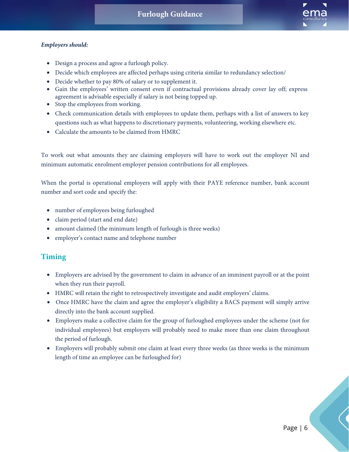

#### *Employers should:*

- Design a process and agree a furlough policy.
- Decide which employees are affected perhaps using criteria similar to redundancy selection/
- Decide whether to pay 80% of salary or to supplement it.
- Gain the employees' written consent even if contractual provisions already cover lay off; express agreement is advisable especially if salary is not being topped up.
- Stop the employees from working.
- Check communication details with employees to update them, perhaps with a list of answers to key questions such as what happens to discretionary payments, volunteering, working elsewhere etc.
- Calculate the amounts to be claimed from HMRC

To work out what amounts they are claiming employers will have to work out the employer NI and minimum automatic enrolment employer pension contributions for all employees.

When the portal is operational employers will apply with their PAYE reference number, bank account number and sort code and specify the:

- number of employees being furloughed
- claim period (start and end date)
- amount claimed (the minimum length of furlough is three weeks)
- employer's contact name and telephone number

## **Timing**

- Employers are advised by the government to claim in advance of an imminent payroll or at the point when they run their payroll.
- HMRC will retain the right to retrospectively investigate and audit employers' claims.
- Once HMRC have the claim and agree the employer's eligibility a BACS payment will simply arrive directly into the bank account supplied.
- Employers make a collective claim for the group of furloughed employees under the scheme (not for individual employees) but employers will probably need to make more than one claim throughout the period of furlough.
- Employers will probably submit one claim at least every three weeks (as three weeks is the minimum length of time an employee can be furloughed for)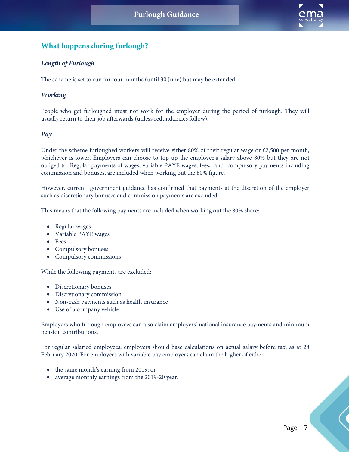

## **What happens during furlough?**

#### *Length of Furlough*

The scheme is set to run for four months (until 30 June) but may be extended.

#### *Working*

People who get furloughed must not work for the employer during the period of furlough. They will usually return to their job afterwards (unless redundancies follow).

#### *Pay*

Under the scheme furloughed workers will receive either 80% of their regular wage or £2,500 per month, whichever is lower. Employers can choose to top up the employee's salary above 80% but they are not obliged to. Regular payments of wages, variable PAYE wages, fees, and compulsory payments including commission and bonuses, are included when working out the 80% figure.

However, current government guidance has confirmed that payments at the discretion of the employer such as discretionary bonuses and commission payments are excluded.

This means that the following payments are included when working out the 80% share:

- Regular wages
- Variable PAYE wages
- Fees
- Compulsory bonuses
- Compulsory commissions

While the following payments are excluded:

- Discretionary bonuses
- Discretionary commission
- Non-cash payments such as health insurance
- Use of a company vehicle

Employers who furlough employees can also claim employers' national insurance payments and minimum pension contributions.

For regular salaried employees, employers should base calculations on actual salary before tax, as at 28 February 2020. For employees with variable pay employers can claim the higher of either:

- the same month's earning from 2019; or
- average monthly earnings from the 2019-20 year.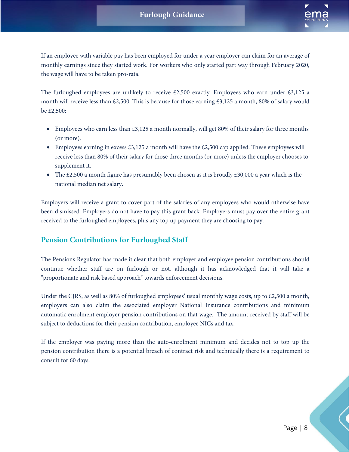

If an employee with variable pay has been employed for under a year employer can claim for an average of monthly earnings since they started work. For workers who only started part way through February 2020, the wage will have to be taken pro-rata.

The furloughed employees are unlikely to receive  $£2,500$  exactly. Employees who earn under  $£3,125$  a month will receive less than £2,500. This is because for those earning £3,125 a month, 80% of salary would be £2,500:

- Employees who earn less than  $\text{\pounds}3,125$  a month normally, will get 80% of their salary for three months (or more).
- Employees earning in excess £3,125 a month will have the £2,500 cap applied. These employees will receive less than 80% of their salary for those three months (or more) unless the employer chooses to supplement it.
- The £2,500 a month figure has presumably been chosen as it is broadly  $\text{\pounds}30,000$  a year which is the national median net salary.

Employers will receive a grant to cover part of the salaries of any employees who would otherwise have been dismissed. Employers do not have to pay this grant back. Employers must pay over the entire grant received to the furloughed employees, plus any top up payment they are choosing to pay.

## **Pension Contributions for Furloughed Staff**

The Pensions Regulator has made it clear that both employer and employee pension contributions should continue whether staff are on furlough or not, although it has acknowledged that it will take a "proportionate and risk based approach" towards enforcement decisions.

Under the CJRS, as well as 80% of furloughed employees' usual monthly wage costs, up to £2,500 a month, employers can also claim the associated employer National Insurance contributions and minimum automatic enrolment employer pension contributions on that wage. The amount received by staff will be subject to deductions for their pension contribution, employee NICs and tax.

If the employer was paying more than the auto-enrolment minimum and decides not to top up the pension contribution there is a potential breach of contract risk and technically there is a requirement to consult for 60 days.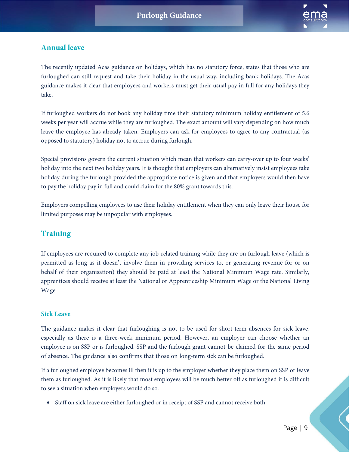

## **Annual leave**

The recently updated Acas guidance on holidays, which has no statutory force, states that those who are furloughed can still request and take their holiday in the usual way, including bank holidays. The Acas guidance makes it clear that employees and workers must get their usual pay in full for any holidays they take.

If furloughed workers do not book any holiday time their statutory minimum holiday entitlement of 5.6 weeks per year will accrue while they are furloughed. The exact amount will vary depending on how much leave the employee has already taken. Employers can ask for employees to agree to any contractual (as opposed to statutory) holiday not to accrue during furlough.

Special provisions govern the current situation which mean that workers can carry-over up to four weeks' holiday into the next two holiday years. It is thought that employers can alternatively insist employees take holiday during the furlough provided the appropriate notice is given and that employers would then have to pay the holiday pay in full and could claim for the 80% grant towards this.

Employers compelling employees to use their holiday entitlement when they can only leave their house for limited purposes may be unpopular with employees.

## **Training**

If employees are required to complete any job-related training while they are on furlough leave (which is permitted as long as it doesn't involve them in providing services to, or generating revenue for or on behalf of their organisation) they should be paid at least the National Minimum Wage rate. Similarly, apprentices should receive at least the National or Apprenticeship Minimum Wage or the National Living Wage.

#### **Sick Leave**

The guidance makes it clear that furloughing is not to be used for short-term absences for sick leave, especially as there is a three-week minimum period. However, an employer can choose whether an employee is on SSP or is furloughed. SSP and the furlough grant cannot be claimed for the same period of absence. The guidance also confirms that those on long-term sick can be furloughed.

If a furloughed employee becomes ill then it is up to the employer whether they place them on SSP or leave them as furloughed. As it is likely that most employees will be much better off as furloughed it is difficult to see a situation when employers would do so.

• Staff on sick leave are either furloughed or in receipt of SSP and cannot receive both.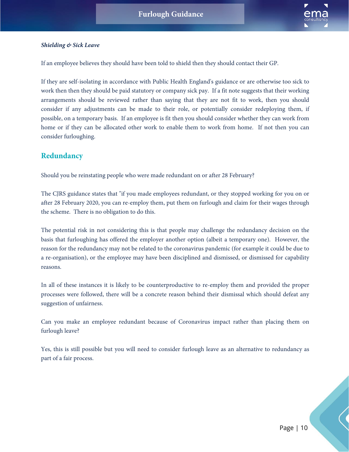

#### *Shielding & Sick Leave*

If an employee believes they should have been told to shield then they should contact their GP.

If they are self-isolating in accordance with Public Health England's guidance or are otherwise too sick to work then then they should be paid statutory or company sick pay. If a fit note suggests that their working arrangements should be reviewed rather than saying that they are not fit to work, then you should consider if any adjustments can be made to their role, or potentially consider redeploying them, if possible, on a temporary basis. If an employee is fit then you should consider whether they can work from home or if they can be allocated other work to enable them to work from home. If not then you can consider furloughing.

#### **Redundancy**

Should you be reinstating people who were made redundant on or after 28 February?

The CJRS guidance states that "if you made employees redundant, or they stopped working for you on or after 28 February 2020, you can re-employ them, put them on furlough and claim for their wages through the scheme. There is no obligation to do this.

The potential risk in not considering this is that people may challenge the redundancy decision on the basis that furloughing has offered the employer another option (albeit a temporary one). However, the reason for the redundancy may not be related to the coronavirus pandemic (for example it could be due to a re-organisation), or the employee may have been disciplined and dismissed, or dismissed for capability reasons.

In all of these instances it is likely to be counterproductive to re-employ them and provided the proper processes were followed, there will be a concrete reason behind their dismissal which should defeat any suggestion of unfairness.

Can you make an employee redundant because of Coronavirus impact rather than placing them on furlough leave?

Yes, this is still possible but you will need to consider furlough leave as an alternative to redundancy as part of a fair process.